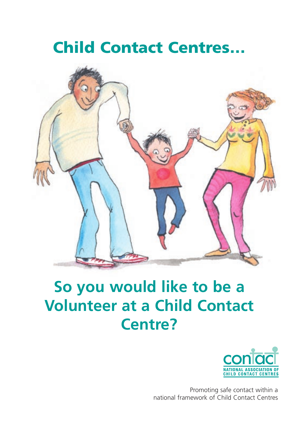# **Child Contact Centres…**



# **So you would like to be a Volunteer at a Child Contact Centre?**



Promoting safe contact within a national framework of Child Contact Centres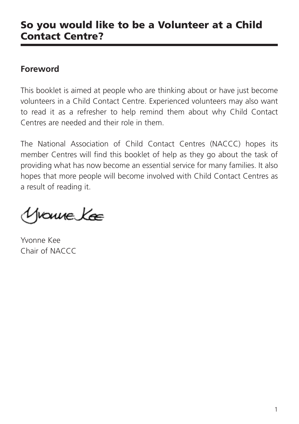### **So you would like to be a Volunteer at a Child Contact Centre?**

#### **Foreword**

This booklet is aimed at people who are thinking about or have just become volunteers in a Child Contact Centre. Experienced volunteers may also want to read it as a refresher to help remind them about why Child Contact Centres are needed and their role in them.

The National Association of Child Contact Centres (NACCC) hopes its member Centres will find this booklet of help as they go about the task of providing what has now become an essential service for many families. It also hopes that more people will become involved with Child Contact Centres as a result of reading it.

Yvouve Kæ

Yvonne Kee Chair of NACCC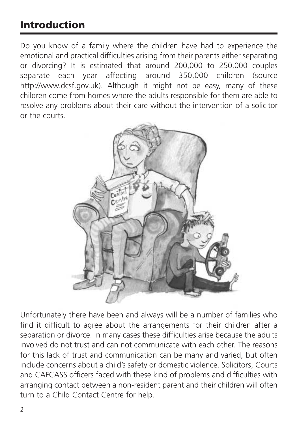# **Introduction**

Do you know of a family where the children have had to experience the emotional and practical difficulties arising from their parents either separating or divorcing? It is estimated that around 200,000 to 250,000 couples separate each year affecting around 350,000 children (source http://www.dcsf.gov.uk). Although it might not be easy, many of these children come from homes where the adults responsible for them are able to resolve any problems about their care without the intervention of a solicitor or the courts.



Unfortunately there have been and always will be a number of families who find it difficult to agree about the arrangements for their children after a separation or divorce. In many cases these difficulties arise because the adults involved do not trust and can not communicate with each other. The reasons for this lack of trust and communication can be many and varied, but often include concerns about a child's safety or domestic violence. Solicitors, Courts and CAFCASS officers faced with these kind of problems and difficulties with arranging contact between a non-resident parent and their children will often turn to a Child Contact Centre for help.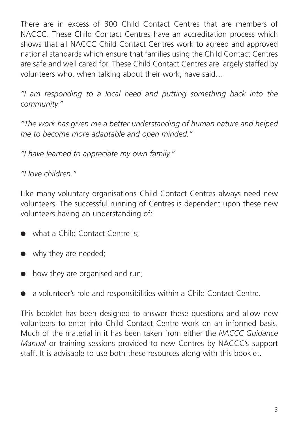There are in excess of 300 Child Contact Centres that are members of NACCC. These Child Contact Centres have an accreditation process which shows that all NACCC Child Contact Centres work to agreed and approved national standards which ensure that families using the Child Contact Centres are safe and well cared for. These Child Contact Centres are largely staffed by volunteers who, when talking about their work, have said…

*"I am responding to a local need and putting something back into the community."*

*"The work has given me a better understanding of human nature and helped me to become more adaptable and open minded."*

*"I have learned to appreciate my own family."*

*"I love children."*

Like many voluntary organisations Child Contact Centres always need new volunteers. The successful running of Centres is dependent upon these new volunteers having an understanding of:

- what a Child Contact Centre is;
- why they are needed;
- how they are organised and run;
- a volunteer's role and responsibilities within a Child Contact Centre.

This booklet has been designed to answer these questions and allow new volunteers to enter into Child Contact Centre work on an informed basis. Much of the material in it has been taken from either the *NACCC Guidance Manual* or training sessions provided to new Centres by NACCC's support staff. It is advisable to use both these resources along with this booklet.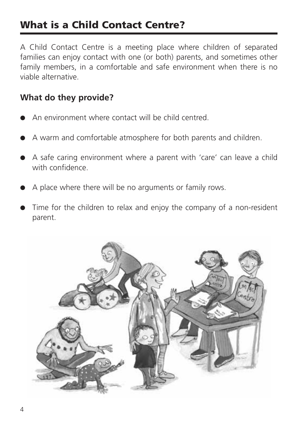# **What is a Child Contact Centre?**

A Child Contact Centre is a meeting place where children of separated families can enjoy contact with one (or both) parents, and sometimes other family members, in a comfortable and safe environment when there is no viable alternative.

#### **What do they provide?**

- An environment where contact will be child centred
- A warm and comfortable atmosphere for both parents and children.
- A safe caring environment where a parent with 'care' can leave a child with confidence.
- A place where there will be no arguments or family rows.
- Time for the children to relax and enjoy the company of a non-resident parent.

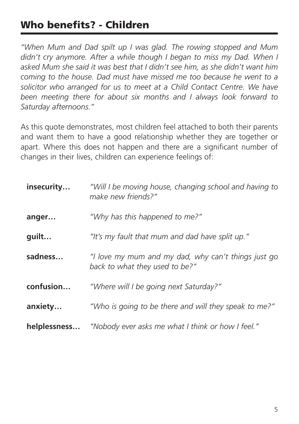# **Who benefits? - Children**

*"When Mum and Dad spilt up I was glad. The rowing stopped and Mum didn't cry anymore. After a while though I began to miss my Dad. When I asked Mum she said it was best that I didn't see him, as she didn't want him coming to the house. Dad must have missed me too because he went to a solicitor who arranged for us to meet at a Child Contact Centre. We have been meeting there for about six months and I always look forward to Saturday afternoons."*

As this quote demonstrates, most children feel attached to both their parents and want them to have a good relationship whether they are together or apart. Where this does not happen and there are a significant number of changes in their lives, children can experience feelings of:

| insecurity   | "Will I be moving house, changing school and having to<br>make new friends?"          |
|--------------|---------------------------------------------------------------------------------------|
| anger        | "Why has this happened to me?"                                                        |
| guilt        | "It's my fault that mum and dad have split up."                                       |
| sadness      | "I love my mum and my dad, why can't things just go<br>back to what they used to be?" |
| confusion    | "Where will I be going next Saturday?"                                                |
| anxiety      | "Who is going to be there and will they speak to me?"                                 |
| helplessness | "Nobody ever asks me what I think or how I feel."                                     |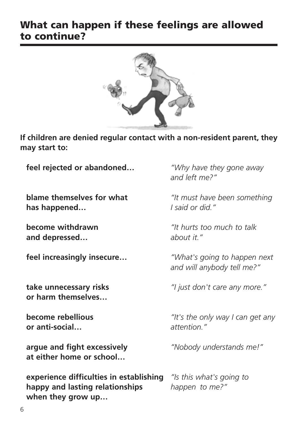### **What can happen if these feelings are allowed to continue?**



**If children are denied regular contact with a non-resident parent, they may start to:**

**feel rejected or abandoned…** *"Why have they gone away*

**has happened…** *I said or did."*

**and depressed…** *about it."*

**or harm themselves…**

**or anti-social…** *attention."*

**argue and fight excessively** *"Nobody understands me!"* **at either home or school…**

**experience difficulties in establishing** *"Is this what's going to* **happy and lasting relationships** *happen to me?"* **when they grow up…**

*and left me?"*

**blame themselves for what** *"It must have been something*

**become withdrawn** *"It hurts too much to talk*

**feel increasingly insecure…** *"What's going to happen next and will anybody tell me?"*

**take unnecessary risks** *"I just don't care any more."*

**become rebellious** *"It's the only way I can get any*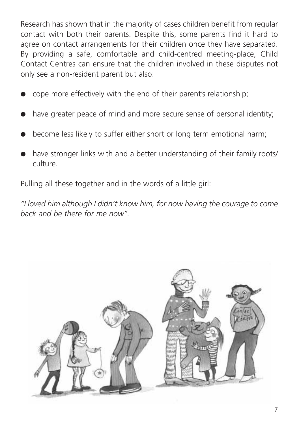Research has shown that in the majority of cases children benefit from regular contact with both their parents. Despite this, some parents find it hard to agree on contact arrangements for their children once they have separated. By providing a safe, comfortable and child-centred meeting-place, Child Contact Centres can ensure that the children involved in these disputes not only see a non-resident parent but also:

- cope more effectively with the end of their parent's relationship;
- have greater peace of mind and more secure sense of personal identity;
- become less likely to suffer either short or long term emotional harm;
- have stronger links with and a better understanding of their family roots/ culture.

Pulling all these together and in the words of a little girl:

*"I loved him although I didn't know him, for now having the courage to come back and be there for me now".*

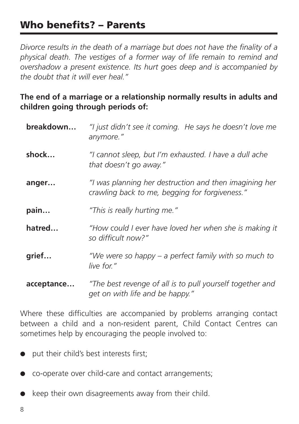## **Who benefits? – Parents**

*Divorce results in the death of a marriage but does not have the finality of a physical death. The vestiges of a former way of life remain to remind and overshadow a present existence. Its hurt goes deep and is accompanied by the doubt that it will ever heal."*

#### **The end of a marriage or a relationship normally results in adults and children going through periods of:**

| breakdown  | "I just didn't see it coming. He says he doesn't love me<br>anymore."                                    |
|------------|----------------------------------------------------------------------------------------------------------|
| shock      | "I cannot sleep, but I'm exhausted. I have a dull ache<br>that doesn't go away."                         |
| anger      | "I was planning her destruction and then imagining her<br>crawling back to me, begging for forgiveness." |
| pain       | "This is really hurting me."                                                                             |
| hatred     | "How could I ever have loved her when she is making it<br>so difficult now?"                             |
| grief      | "We were so happy – a perfect family with so much to<br>live for."                                       |
| acceptance | "The best revenge of all is to pull yourself together and<br>get on with life and be happy."             |

Where these difficulties are accompanied by problems arranging contact between a child and a non-resident parent, Child Contact Centres can sometimes help by encouraging the people involved to:

- put their child's best interests first;
- co-operate over child-care and contact arrangements;
- keep their own disagreements away from their child.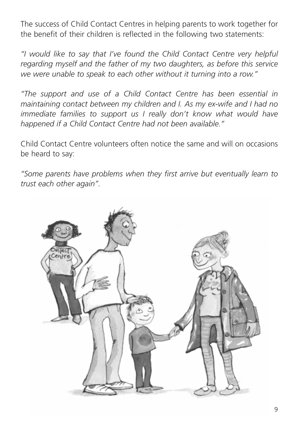The success of Child Contact Centres in helping parents to work together for the benefit of their children is reflected in the following two statements:

*"I would like to say that I've found the Child Contact Centre very helpful regarding myself and the father of my two daughters, as before this service we were unable to speak to each other without it turning into a row."*

*"The support and use of a Child Contact Centre has been essential in maintaining contact between my children and I. As my ex-wife and I had no immediate families to support us I really don't know what would have happened if a Child Contact Centre had not been available."*

Child Contact Centre volunteers often notice the same and will on occasions be heard to say:

*"Some parents have problems when they first arrive but eventually learn to trust each other again".*

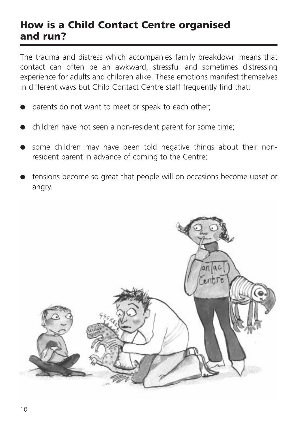### **How is a Child Contact Centre organised and run?**

The trauma and distress which accompanies family breakdown means that contact can often be an awkward, stressful and sometimes distressing experience for adults and children alike. These emotions manifest themselves in different ways but Child Contact Centre staff frequently find that:

- parents do not want to meet or speak to each other;
- children have not seen a non-resident parent for some time;
- some children may have been told negative things about their nonresident parent in advance of coming to the Centre;
- tensions become so great that people will on occasions become upset or angry.

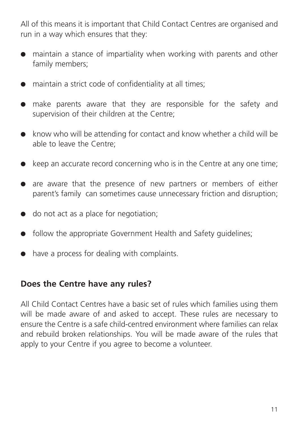All of this means it is important that Child Contact Centres are organised and run in a way which ensures that they:

- maintain a stance of impartiality when working with parents and other family members;
- maintain a strict code of confidentiality at all times;
- make parents aware that they are responsible for the safety and supervision of their children at the Centre;
- know who will be attending for contact and know whether a child will be able to leave the Centre;
- $\bullet$  keep an accurate record concerning who is in the Centre at any one time;
- are aware that the presence of new partners or members of either parent's family can sometimes cause unnecessary friction and disruption;
- do not act as a place for negotiation;
- follow the appropriate Government Health and Safety guidelines;
- have a process for dealing with complaints.

#### **Does the Centre have any rules?**

All Child Contact Centres have a basic set of rules which families using them will be made aware of and asked to accept. These rules are necessary to ensure the Centre is a safe child-centred environment where families can relax and rebuild broken relationships. You will be made aware of the rules that apply to your Centre if you agree to become a volunteer.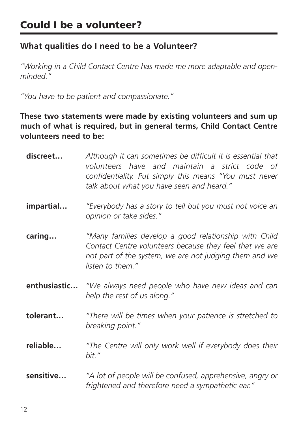#### **What qualities do I need to be a Volunteer?**

*"Working in a Child Contact Centre has made me more adaptable and openminded."*

*"You have to be patient and compassionate."*

**These two statements were made by existing volunteers and sum up much of what is required, but in general terms, Child Contact Centre volunteers need to be:**

| discreet     | Although it can sometimes be difficult it is essential that<br>volunteers have and maintain a strict code of<br>confidentiality. Put simply this means "You must never<br>talk about what you have seen and heard." |
|--------------|---------------------------------------------------------------------------------------------------------------------------------------------------------------------------------------------------------------------|
| impartial    | "Everybody has a story to tell but you must not voice an<br>opinion or take sides."                                                                                                                                 |
| caring       | "Many families develop a good relationship with Child<br>Contact Centre volunteers because they feel that we are<br>not part of the system, we are not judging them and we<br>listen to them."                      |
| enthusiastic | "We always need people who have new ideas and can<br>help the rest of us along."                                                                                                                                    |
| tolerant     | "There will be times when your patience is stretched to<br>breaking point."                                                                                                                                         |
| reliable     | "The Centre will only work well if everybody does their<br>bit."                                                                                                                                                    |
| sensitive    | "A lot of people will be confused, apprehensive, angry or<br>frightened and therefore need a sympathetic ear."                                                                                                      |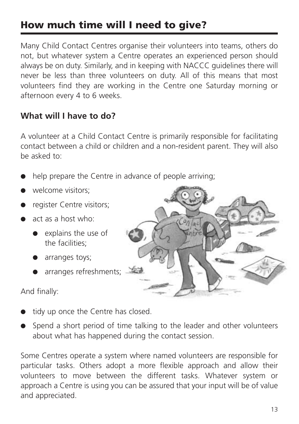# **How much time will I need to give?**

Many Child Contact Centres organise their volunteers into teams, others do not, but whatever system a Centre operates an experienced person should always be on duty. Similarly, and in keeping with NACCC guidelines there will never be less than three volunteers on duty. All of this means that most volunteers find they are working in the Centre one Saturday morning or afternoon every 4 to 6 weeks.

#### **What will I have to do?**

A volunteer at a Child Contact Centre is primarily responsible for facilitating contact between a child or children and a non-resident parent. They will also be asked to:

- help prepare the Centre in advance of people arriving;
- welcome visitors:
- register Centre visitors;
- act as a host who:
	- explains the use of the facilities;
	- arranges toys;
	- arranges refreshments;

And finally:

- tidy up once the Centre has closed.
- Spend a short period of time talking to the leader and other volunteers about what has happened during the contact session.

Some Centres operate a system where named volunteers are responsible for particular tasks. Others adopt a more flexible approach and allow their volunteers to move between the different tasks. Whatever system or approach a Centre is using you can be assured that your input will be of value and appreciated.

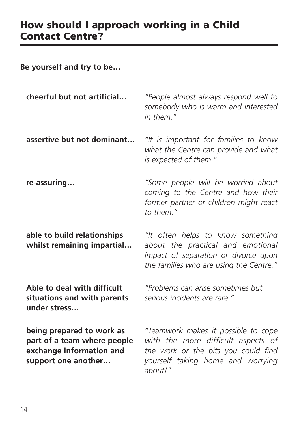### **How should I approach working in a Child Contact Centre?**

**Be yourself and try to be…**

| cheerful but not artificial                                                                                 | "People almost always respond well to<br>somebody who is warm and interested<br>in them."                                                                        |
|-------------------------------------------------------------------------------------------------------------|------------------------------------------------------------------------------------------------------------------------------------------------------------------|
| assertive but not dominant                                                                                  | "It is important for families to know<br>what the Centre can provide and what<br>is expected of them."                                                           |
| re-assuring                                                                                                 | "Some people will be worried about<br>coming to the Centre and how their<br>former partner or children might react<br>to them."                                  |
| able to build relationships<br>whilst remaining impartial                                                   | "It often helps to know something<br>about the practical and emotional<br>impact of separation or divorce upon<br>the families who are using the Centre."        |
| Able to deal with difficult<br>situations and with parents<br>under stress                                  | "Problems can arise sometimes but<br>serious incidents are rare."                                                                                                |
| being prepared to work as<br>part of a team where people<br>exchange information and<br>support one another | "Teamwork makes it possible to cope<br>with the more difficult aspects of<br>the work or the bits you could find<br>yourself taking home and worrying<br>about!" |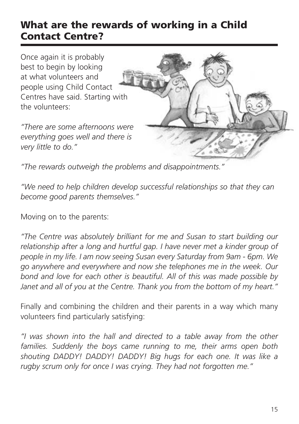### **What are the rewards of working in a Child Contact Centre?**

Once again it is probably best to begin by looking at what volunteers and people using Child Contact Centres have said. Starting with the volunteers:

*"There are some afternoons were everything goes well and there is very little to do."*



*"The rewards outweigh the problems and disappointments."*

*"We need to help children develop successful relationships so that they can become good parents themselves."*

Moving on to the parents:

*"The Centre was absolutely brilliant for me and Susan to start building our relationship after a long and hurtful gap. I have never met a kinder group of people in my life. I am now seeing Susan every Saturday from 9am - 6pm. We go anywhere and everywhere and now she telephones me in the week. Our bond and love for each other is beautiful. All of this was made possible by Janet and all of you at the Centre. Thank you from the bottom of my heart."*

Finally and combining the children and their parents in a way which many volunteers find particularly satisfying:

*"I was shown into the hall and directed to a table away from the other families. Suddenly the boys came running to me, their arms open both shouting DADDY! DADDY! DADDY! Big hugs for each one. It was like a rugby scrum only for once I was crying. They had not forgotten me."*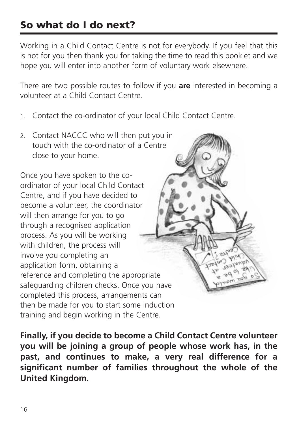# **So what do I do next?**

Working in a Child Contact Centre is not for everybody. If you feel that this is not for you then thank you for taking the time to read this booklet and we hope you will enter into another form of voluntary work elsewhere.

There are two possible routes to follow if you **are** interested in becoming a volunteer at a Child Contact Centre.

- 1. Contact the co-ordinator of your local Child Contact Centre.
- 2. Contact NACCC who will then put you in touch with the co-ordinator of a Centre close to your home.

Once you have spoken to the coordinator of your local Child Contact Centre, and if you have decided to become a volunteer, the coordinator will then arrange for you to go through a recognised application process. As you will be working with children, the process will involve you completing an application form, obtaining a reference and completing the appropriate safeguarding children checks. Once you have completed this process, arrangements can then be made for you to start some induction training and begin working in the Centre.

**Finally, if you decide to become a Child Contact Centre volunteer you will be joining a group of people whose work has, in the past, and continues to make, a very real difference for a significant number of families throughout the whole of the United Kingdom.**